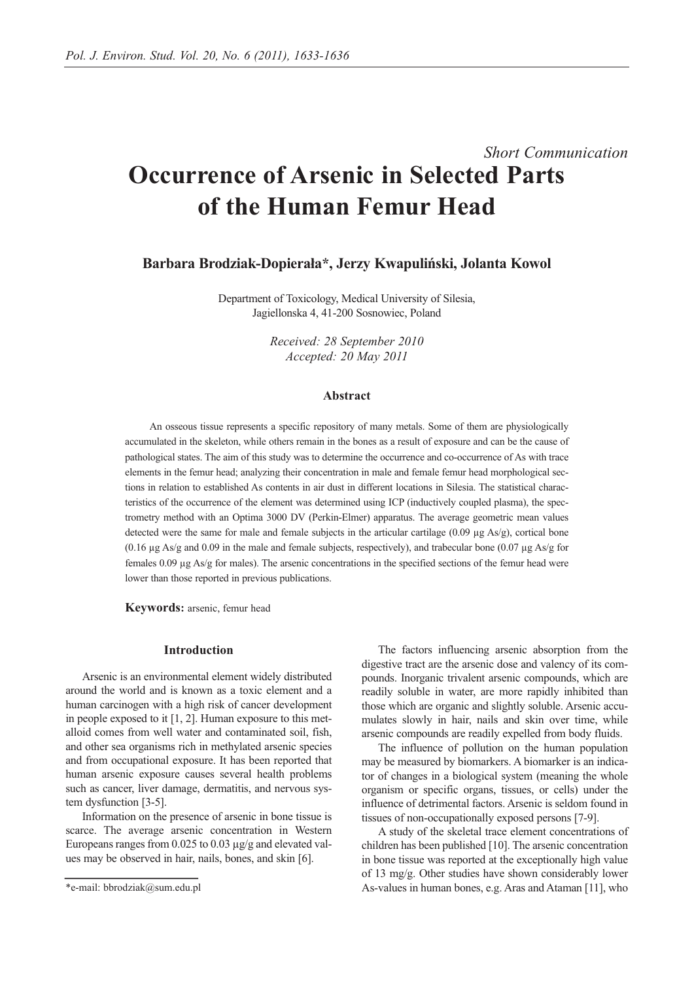# *Short Communication* **Occurrence of Arsenic in Selected Parts of the Human Femur Head**

**Barbara Brodziak-Dopierała\*, Jerzy Kwapuliński, Jolanta Kowol** 

Department of Toxicology, Medical University of Silesia, Jagiellonska 4, 41-200 Sosnowiec, Poland

> *Received: 28 September 2010 Accepted: 20 May 2011*

## **Abstract**

An osseous tissue represents a specific repository of many metals. Some of them are physiologically accumulated in the skeleton, while others remain in the bones as a result of exposure and can be the cause of pathological states. The aim of this study was to determine the occurrence and co-occurrence of As with trace elements in the femur head; analyzing their concentration in male and female femur head morphological sections in relation to established As contents in air dust in different locations in Silesia. The statistical characteristics of the occurrence of the element was determined using ICP (inductively coupled plasma), the spectrometry method with an Optima 3000 DV (Perkin-Elmer) apparatus. The average geometric mean values detected were the same for male and female subjects in the articular cartilage  $(0.09 \mu g \text{ As/g})$ , cortical bone  $(0.16 \mu g$  As/g and 0.09 in the male and female subjects, respectively), and trabecular bone  $(0.07 \mu g$  As/g for females  $0.09 \mu g$  As/g for males). The arsenic concentrations in the specified sections of the femur head were lower than those reported in previous publications.

**Keywords:** arsenic, femur head

## **Introduction**

Arsenic is an environmental element widely distributed around the world and is known as a toxic element and a human carcinogen with a high risk of cancer development in people exposed to it [1, 2]. Human exposure to this metalloid comes from well water and contaminated soil, fish, and other sea organisms rich in methylated arsenic species and from occupational exposure. It has been reported that human arsenic exposure causes several health problems such as cancer, liver damage, dermatitis, and nervous system dysfunction [3-5].

Information on the presence of arsenic in bone tissue is scarce. The average arsenic concentration in Western Europeans ranges from 0.025 to 0.03 µg/g and elevated values may be observed in hair, nails, bones, and skin [6].

The factors influencing arsenic absorption from the digestive tract are the arsenic dose and valency of its compounds. Inorganic trivalent arsenic compounds, which are readily soluble in water, are more rapidly inhibited than those which are organic and slightly soluble. Arsenic accumulates slowly in hair, nails and skin over time, while arsenic compounds are readily expelled from body fluids.

The influence of pollution on the human population may be measured by biomarkers. A biomarker is an indicator of changes in a biological system (meaning the whole organism or specific organs, tissues, or cells) under the influence of detrimental factors. Arsenic is seldom found in tissues of non-occupationally exposed persons [7-9].

A study of the skeletal trace element concentrations of children has been published [10]. The arsenic concentration in bone tissue was reported at the exceptionally high value of 13 mg/g. Other studies have shown considerably lower As-values in human bones, e.g. Aras and Ataman [11], who

<sup>\*</sup>e-mail: bbrodziak@sum.edu.pl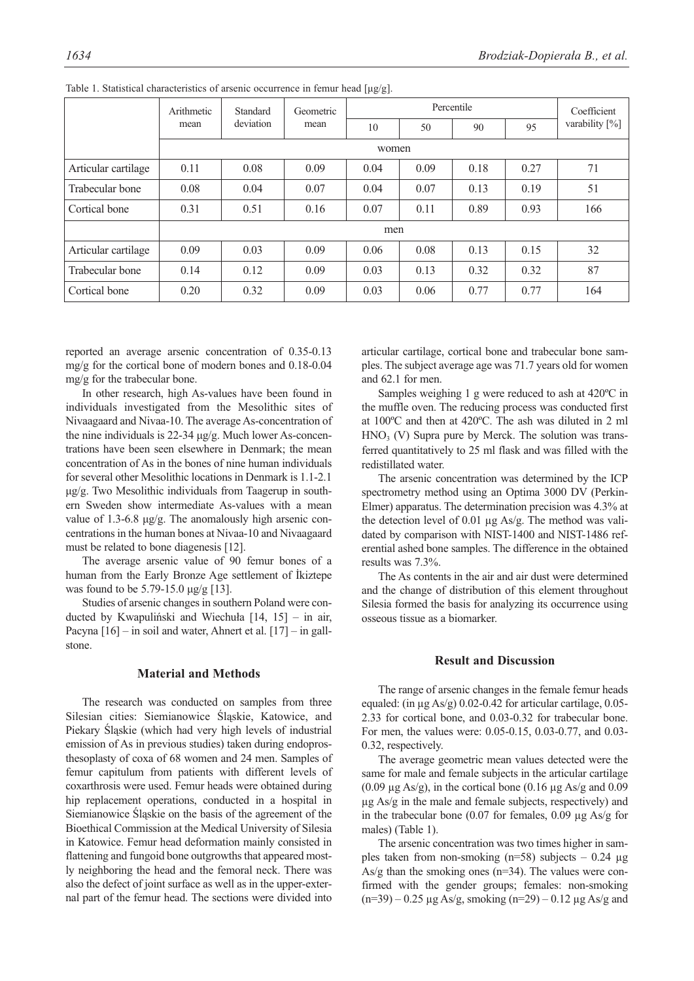|                     | Arithmetic<br>mean | Standard<br>deviation | Geometric<br>mean | Percentile |      |      |      | Coefficient       |
|---------------------|--------------------|-----------------------|-------------------|------------|------|------|------|-------------------|
|                     |                    |                       |                   | 10         | 50   | 90   | 95   | varability $[\%]$ |
|                     | women              |                       |                   |            |      |      |      |                   |
| Articular cartilage | 0.11               | 0.08                  | 0.09              | 0.04       | 0.09 | 0.18 | 0.27 | 71                |
| Trabecular bone     | 0.08               | 0.04                  | 0.07              | 0.04       | 0.07 | 0.13 | 0.19 | 51                |
| Cortical bone       | 0.31               | 0.51                  | 0.16              | 0.07       | 0.11 | 0.89 | 0.93 | 166               |
|                     | men                |                       |                   |            |      |      |      |                   |
| Articular cartilage | 0.09               | 0.03                  | 0.09              | 0.06       | 0.08 | 0.13 | 0.15 | 32                |
| Trabecular bone     | 0.14               | 0.12                  | 0.09              | 0.03       | 0.13 | 0.32 | 0.32 | 87                |
| Cortical bone       | 0.20               | 0.32                  | 0.09              | 0.03       | 0.06 | 0.77 | 0.77 | 164               |

Table 1. Statistical characteristics of arsenic occurrence in femur head [μg/g].

reported an average arsenic concentration of 0.35-0.13 mg/g for the cortical bone of modern bones and 0.18-0.04 mg/g for the trabecular bone.

In other research, high As-values have been found in individuals investigated from the Mesolithic sites of Nivaagaard and Nivaa-10. The average As-concentration of the nine individuals is 22-34 μg/g. Much lower As-concentrations have been seen elsewhere in Denmark; the mean concentration of As in the bones of nine human individuals for several other Mesolithic locations in Denmark is 1.1-2.1 μg/g. Two Mesolithic individuals from Taagerup in southern Sweden show intermediate As-values with a mean value of 1.3-6.8 μg/g. The anomalously high arsenic concentrations in the human bones at Nivaa-10 and Nivaagaard must be related to bone diagenesis [12].

The average arsenic value of 90 femur bones of a human from the Early Bronze Age settlement of İkiztepe was found to be 5.79-15.0 μg/g [13].

Studies of arsenic changes in southern Poland were conducted by Kwapuliński and Wiechuła [14, 15] – in air, Pacyna  $[16]$  – in soil and water, Ahnert et al.  $[17]$  – in gallstone.

# **Material and Methods**

The research was conducted on samples from three Silesian cities: Siemianowice Śląskie, Katowice, and Piekary Śląskie (which had very high levels of industrial emission of As in previous studies) taken during endoprosthesoplasty of coxa of 68 women and 24 men. Samples of femur capitulum from patients with different levels of coxarthrosis were used. Femur heads were obtained during hip replacement operations, conducted in a hospital in Siemianowice Śląskie on the basis of the agreement of the Bioethical Commission at the Medical University of Silesia in Katowice. Femur head deformation mainly consisted in flattening and fungoid bone outgrowths that appeared mostly neighboring the head and the femoral neck. There was also the defect of joint surface as well as in the upper-external part of the femur head. The sections were divided into

articular cartilage, cortical bone and trabecular bone samples. The subject average age was 71.7 years old for women and 62.1 for men.

Samples weighing 1 g were reduced to ash at 420ºC in the muffle oven. The reducing process was conducted first at 100ºC and then at 420ºC. The ash was diluted in 2 ml  $HNO<sub>3</sub>$  (V) Supra pure by Merck. The solution was transferred quantitatively to 25 ml flask and was filled with the redistillated water.

The arsenic concentration was determined by the ICP spectrometry method using an Optima 3000 DV (Perkin-Elmer) apparatus. The determination precision was 4.3% at the detection level of 0.01 µg As/g. The method was validated by comparison with NIST-1400 and NIST-1486 referential ashed bone samples. The difference in the obtained results was 7.3%.

The As contents in the air and air dust were determined and the change of distribution of this element throughout Silesia formed the basis for analyzing its occurrence using osseous tissue as a biomarker.

## **Result and Discussion**

The range of arsenic changes in the female femur heads equaled: (in µg As/g) 0.02-0.42 for articular cartilage, 0.05- 2.33 for cortical bone, and 0.03-0.32 for trabecular bone. For men, the values were: 0.05-0.15, 0.03-0.77, and 0.03- 0.32, respectively.

The average geometric mean values detected were the same for male and female subjects in the articular cartilage  $(0.09 \text{ µg As/g})$ , in the cortical bone  $(0.16 \text{ µg As/g and } 0.09 \text{ m})$ µg As/g in the male and female subjects, respectively) and in the trabecular bone (0.07 for females, 0.09  $\mu$ g As/g for males) (Table 1).

The arsenic concentration was two times higher in samples taken from non-smoking ( $n=58$ ) subjects - 0.24  $\mu$ g As/g than the smoking ones (n=34). The values were confirmed with the gender groups; females: non-smoking  $(n=39) - 0.25 \mu g As/g,$  smoking  $(n=29) - 0.12 \mu g As/g$  and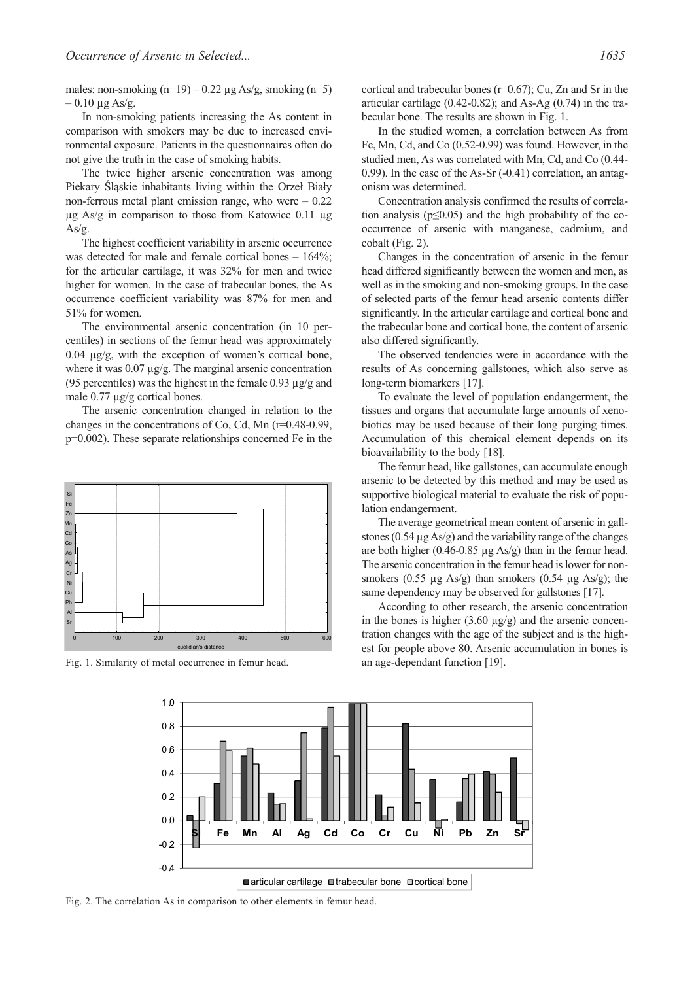males: non-smoking  $(n=19) - 0.22 \mu g As/g$ , smoking  $(n=5)$  $-0.10 \mu$ g As/g.

In non-smoking patients increasing the As content in comparison with smokers may be due to increased environmental exposure. Patients in the questionnaires often do not give the truth in the case of smoking habits.

The twice higher arsenic concentration was among Piekary Śląskie inhabitants living within the Orzeł Biały non-ferrous metal plant emission range, who were – 0.22  $\mu$ g As/g in comparison to those from Katowice 0.11  $\mu$ g As/g.

The highest coefficient variability in arsenic occurrence was detected for male and female cortical bones –  $164\%$ ; for the articular cartilage, it was 32% for men and twice higher for women. In the case of trabecular bones, the As occurrence coefficient variability was 87% for men and 51% for women.

The environmental arsenic concentration (in 10 percentiles) in sections of the femur head was approximately 0.04 µg/g, with the exception of women's cortical bone, where it was 0.07  $\mu$ g/g. The marginal arsenic concentration (95 percentiles) was the highest in the female 0.93  $\mu$ g/g and male 0.77 µg/g cortical bones.

The arsenic concentration changed in relation to the changes in the concentrations of Co, Cd, Mn (r=0.48-0.99, p=0.002). These separate relationships concerned Fe in the



Fig. 1. Similarity of metal occurrence in femur head.

cortical and trabecular bones (r=0.67); Cu, Zn and Sr in the articular cartilage (0.42-0.82); and As-Ag (0.74) in the trabecular bone. The results are shown in Fig. 1.

In the studied women, a correlation between As from Fe, Mn, Cd, and Co (0.52-0.99) was found. However, in the studied men, As was correlated with Mn, Cd, and Co (0.44- 0.99). In the case of the As-Sr (-0.41) correlation, an antagonism was determined.

Concentration analysis confirmed the results of correlation analysis ( $p \leq 0.05$ ) and the high probability of the cooccurrence of arsenic with manganese, cadmium, and cobalt (Fig. 2).

Changes in the concentration of arsenic in the femur head differed significantly between the women and men, as well as in the smoking and non-smoking groups. In the case of selected parts of the femur head arsenic contents differ significantly. In the articular cartilage and cortical bone and the trabecular bone and cortical bone, the content of arsenic also differed significantly.

The observed tendencies were in accordance with the results of As concerning gallstones, which also serve as long-term biomarkers [17].

To evaluate the level of population endangerment, the tissues and organs that accumulate large amounts of xenobiotics may be used because of their long purging times. Accumulation of this chemical element depends on its bioavailability to the body [18].

The femur head, like gallstones, can accumulate enough arsenic to be detected by this method and may be used as supportive biological material to evaluate the risk of population endangerment.

The average geometrical mean content of arsenic in gallstones (0.54  $\mu$ g As/g) and the variability range of the changes are both higher  $(0.46-0.85 \mu g \text{ As/g})$  than in the femur head. The arsenic concentration in the femur head is lower for nonsmokers (0.55  $\mu$ g As/g) than smokers (0.54  $\mu$ g As/g); the same dependency may be observed for gallstones [17].

According to other research, the arsenic concentration in the bones is higher  $(3.60 \mu g/g)$  and the arsenic concentration changes with the age of the subject and is the highest for people above 80. Arsenic accumulation in bones is an age-dependant function [19].



Fig. 2. The correlation As in comparison to other elements in femur head.